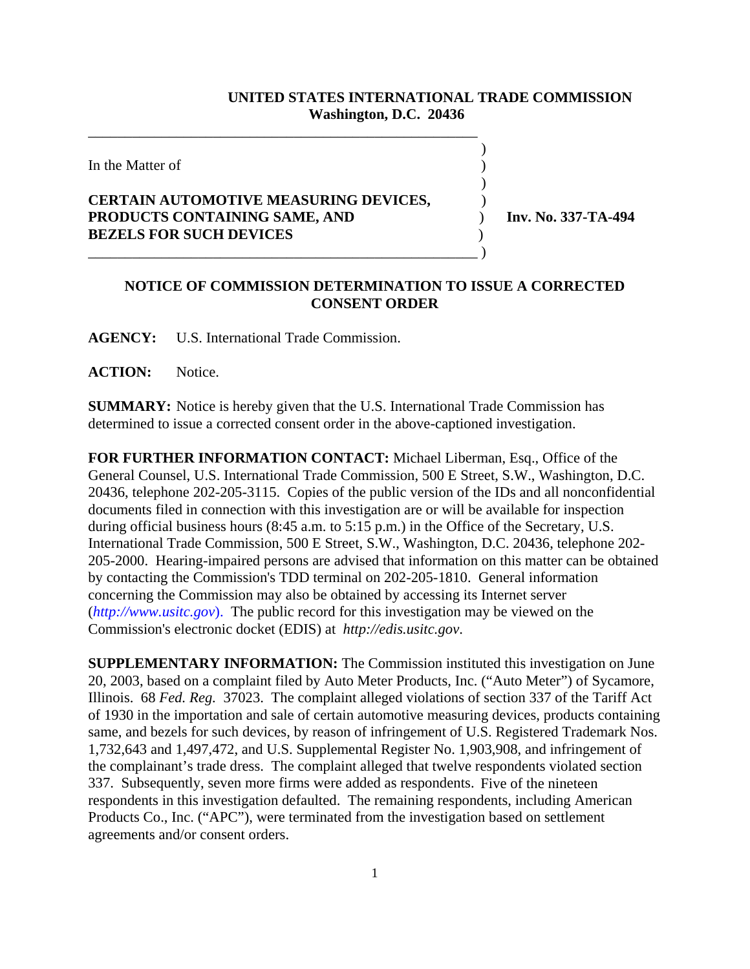## **UNITED STATES INTERNATIONAL TRADE COMMISSION Washington, D.C. 20436**

 $\overline{\phantom{a}}$ 

)

In the Matter of  $\blacksquare$ 

## **CERTAIN AUTOMOTIVE MEASURING DEVICES,** ) **PRODUCTS CONTAINING SAME, AND** ) **Inv. No. 337-TA-494 BEZELS FOR SUCH DEVICES** )

\_\_\_\_\_\_\_\_\_\_\_\_\_\_\_\_\_\_\_\_\_\_\_\_\_\_\_\_\_\_\_\_\_\_\_\_\_\_\_\_\_\_\_\_\_\_\_\_\_\_\_\_\_

\_\_\_\_\_\_\_\_\_\_\_\_\_\_\_\_\_\_\_\_\_\_\_\_\_\_\_\_\_\_\_\_\_\_\_\_\_\_\_\_\_\_\_\_\_\_\_\_\_\_\_\_\_ )

## **NOTICE OF COMMISSION DETERMINATION TO ISSUE A CORRECTED CONSENT ORDER**

**AGENCY:** U.S. International Trade Commission.

**ACTION:** Notice.

**SUMMARY:** Notice is hereby given that the U.S. International Trade Commission has determined to issue a corrected consent order in the above-captioned investigation.

**FOR FURTHER INFORMATION CONTACT:** Michael Liberman, Esq., Office of the General Counsel, U.S. International Trade Commission, 500 E Street, S.W., Washington, D.C. 20436, telephone 202-205-3115. Copies of the public version of the IDs and all nonconfidential documents filed in connection with this investigation are or will be available for inspection during official business hours (8:45 a.m. to 5:15 p.m.) in the Office of the Secretary, U.S. International Trade Commission, 500 E Street, S.W., Washington, D.C. 20436, telephone 202- 205-2000. Hearing-impaired persons are advised that information on this matter can be obtained by contacting the Commission's TDD terminal on 202-205-1810. General information concerning the Commission may also be obtained by accessing its Internet server (*http://www.usitc.gov*). The public record for this investigation may be viewed on the Commission's electronic docket (EDIS) at *http://edis.usitc.gov*.

**SUPPLEMENTARY INFORMATION:** The Commission instituted this investigation on June 20, 2003, based on a complaint filed by Auto Meter Products, Inc. ("Auto Meter") of Sycamore, Illinois. 68 *Fed. Reg.* 37023. The complaint alleged violations of section 337 of the Tariff Act of 1930 in the importation and sale of certain automotive measuring devices, products containing same, and bezels for such devices, by reason of infringement of U.S. Registered Trademark Nos. 1,732,643 and 1,497,472, and U.S. Supplemental Register No. 1,903,908, and infringement of the complainant's trade dress. The complaint alleged that twelve respondents violated section 337. Subsequently, seven more firms were added as respondents. Five of the nineteen respondents in this investigation defaulted. The remaining respondents, including American Products Co., Inc. ("APC"), were terminated from the investigation based on settlement agreements and/or consent orders.